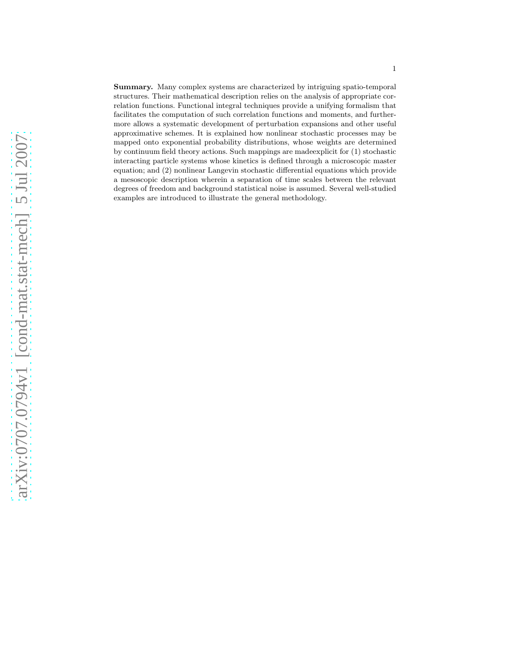Summary. Many complex systems are characterized by intriguing spatio-temporal structures. Their mathematical description relies on the analysis of appropriate correlation functions. Functional integral techniques provide a unifying formalism that facilitates the computation of such correlation functions and moments, and furthermore allows a systematic development of perturbation expansions and other useful approximative schemes. It is explained how nonlinear stochastic processes may be mapped onto exponential probability distributions, whose weights are determined by continuum field theory actions. Such mappings are madeexplicit for (1) stochastic interacting particle systems whose kinetics is defined through a microscopic master equation; and (2) nonlinear Langevin stochastic differential equations which provide a mesoscopic description wherein a separation of time scales between the relevant degrees of freedom and background statistical noise is assumed. Several well-studied examples are introduced to illustrate the general methodology.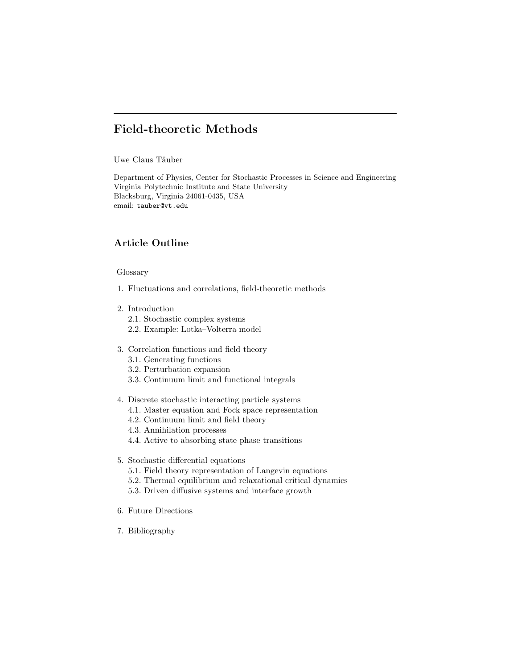# Field-theoretic Methods

Uwe Claus Täuber

Department of Physics, Center for Stochastic Processes in Science and Engineering Virginia Polytechnic Institute and State University Blacksburg, Virginia 24061-0435, USA email: tauber@vt.edu

# Article Outline

Glossary

- 1. Fluctuations and correlations, field-theoretic methods
- 2. Introduction
	- 2.1. Stochastic complex systems
	- 2.2. Example: Lotka–Volterra model
- 3. Correlation functions and field theory
	- 3.1. Generating functions
	- 3.2. Perturbation expansion
	- 3.3. Continuum limit and functional integrals
- 4. Discrete stochastic interacting particle systems
	- 4.1. Master equation and Fock space representation
	- 4.2. Continuum limit and field theory
	- 4.3. Annihilation processes
	- 4.4. Active to absorbing state phase transitions
- 5. Stochastic differential equations
	- 5.1. Field theory representation of Langevin equations
	- 5.2. Thermal equilibrium and relaxational critical dynamics
	- 5.3. Driven diffusive systems and interface growth
- 6. Future Directions
- 7. Bibliography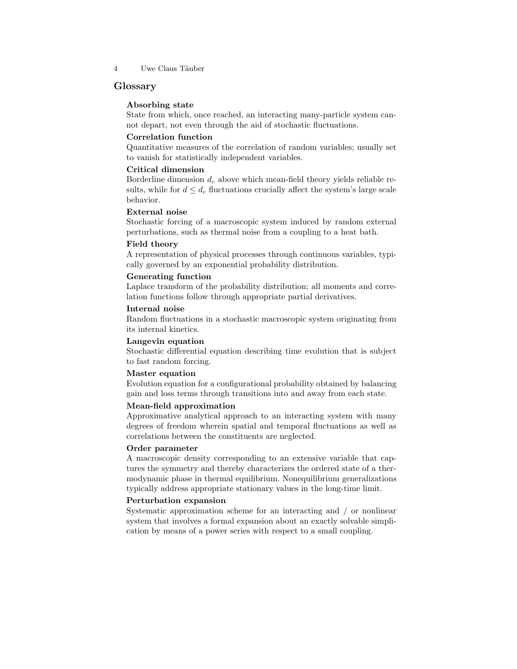# Glossary

### Absorbing state

State from which, once reached, an interacting many-particle system cannot depart, not even through the aid of stochastic fluctuations.

### Correlation function

Quantitative measures of the correlation of random variables; usually set to vanish for statistically independent variables.

### Critical dimension

Borderline dimension  $d_c$  above which mean-field theory yields reliable results, while for  $d \leq d_c$  fluctuations crucially affect the system's large scale behavior.

### External noise

Stochastic forcing of a macroscopic system induced by random external perturbations, such as thermal noise from a coupling to a heat bath.

#### Field theory

A representation of physical processes through continuous variables, typically governed by an exponential probability distribution.

### Generating function

Laplace transform of the probability distribution; all moments and correlation functions follow through appropriate partial derivatives.

### Internal noise

Random fluctuations in a stochastic macroscopic system originating from its internal kinetics.

### Langevin equation

Stochastic differential equation describing time evolution that is subject to fast random forcing.

### Master equation

Evolution equation for a configurational probability obtained by balancing gain and loss terms through transitions into and away from each state.

## Mean-field approximation

Approximative analytical approach to an interacting system with many degrees of freedom wherein spatial and temporal fluctuations as well as correlations between the constituents are neglected.

### Order parameter

A macroscopic density corresponding to an extensive variable that captures the symmetry and thereby characterizes the ordered state of a thermodynamic phase in thermal equilibrium. Nonequilibrium generalizations typically address appropriate stationary values in the long-time limit.

## Perturbation expansion

Systematic approximation scheme for an interacting and / or nonlinear system that involves a formal expansion about an exactly solvable simplication by means of a power series with respect to a small coupling.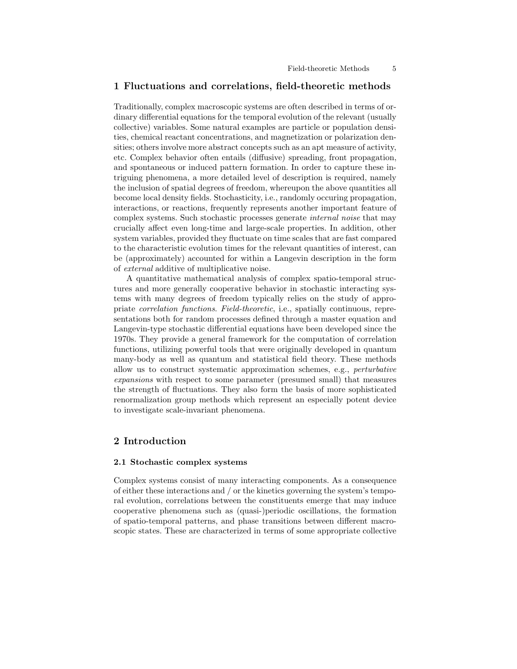### 1 Fluctuations and correlations, field-theoretic methods

Traditionally, complex macroscopic systems are often described in terms of ordinary differential equations for the temporal evolution of the relevant (usually collective) variables. Some natural examples are particle or population densities, chemical reactant concentrations, and magnetization or polarization densities; others involve more abstract concepts such as an apt measure of activity, etc. Complex behavior often entails (diffusive) spreading, front propagation, and spontaneous or induced pattern formation. In order to capture these intriguing phenomena, a more detailed level of description is required, namely the inclusion of spatial degrees of freedom, whereupon the above quantities all become local density fields. Stochasticity, i.e., randomly occuring propagation, interactions, or reactions, frequently represents another important feature of complex systems. Such stochastic processes generate internal noise that may crucially affect even long-time and large-scale properties. In addition, other system variables, provided they fluctuate on time scales that are fast compared to the characteristic evolution times for the relevant quantities of interest, can be (approximately) accounted for within a Langevin description in the form of external additive of multiplicative noise.

A quantitative mathematical analysis of complex spatio-temporal structures and more generally cooperative behavior in stochastic interacting systems with many degrees of freedom typically relies on the study of appropriate correlation functions. Field-theoretic, i.e., spatially continuous, representations both for random processes defined through a master equation and Langevin-type stochastic differential equations have been developed since the 1970s. They provide a general framework for the computation of correlation functions, utilizing powerful tools that were originally developed in quantum many-body as well as quantum and statistical field theory. These methods allow us to construct systematic approximation schemes, e.g., perturbative expansions with respect to some parameter (presumed small) that measures the strength of fluctuations. They also form the basis of more sophisticated renormalization group methods which represent an especially potent device to investigate scale-invariant phenomena.

# 2 Introduction

### 2.1 Stochastic complex systems

Complex systems consist of many interacting components. As a consequence of either these interactions and / or the kinetics governing the system's temporal evolution, correlations between the constituents emerge that may induce cooperative phenomena such as (quasi-)periodic oscillations, the formation of spatio-temporal patterns, and phase transitions between different macroscopic states. These are characterized in terms of some appropriate collective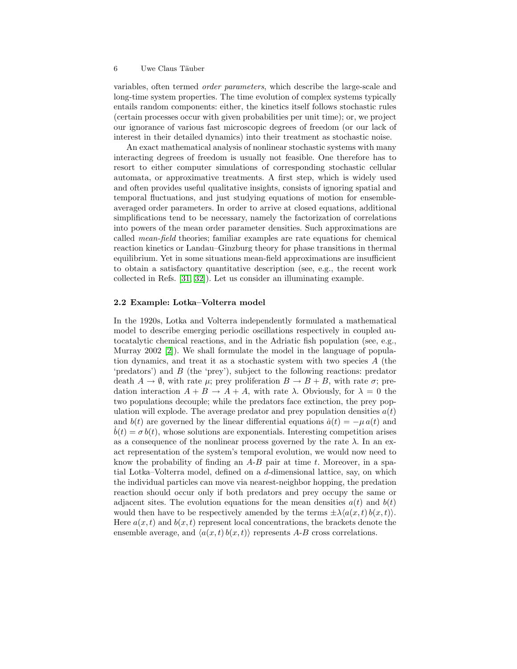variables, often termed order parameters, which describe the large-scale and long-time system properties. The time evolution of complex systems typically entails random components: either, the kinetics itself follows stochastic rules (certain processes occur with given probabilities per unit time); or, we project our ignorance of various fast microscopic degrees of freedom (or our lack of interest in their detailed dynamics) into their treatment as stochastic noise.

An exact mathematical analysis of nonlinear stochastic systems with many interacting degrees of freedom is usually not feasible. One therefore has to resort to either computer simulations of corresponding stochastic cellular automata, or approximative treatments. A first step, which is widely used and often provides useful qualitative insights, consists of ignoring spatial and temporal fluctuations, and just studying equations of motion for ensembleaveraged order parameters. In order to arrive at closed equations, additional simplifications tend to be necessary, namely the factorization of correlations into powers of the mean order parameter densities. Such approximations are called mean-field theories; familiar examples are rate equations for chemical reaction kinetics or Landau–Ginzburg theory for phase transitions in thermal equilibrium. Yet in some situations mean-field approximations are insufficient to obtain a satisfactory quantitative description (see, e.g., the recent work collected in Refs. [\[31,](#page-25-0) [32\]](#page-25-1)). Let us consider an illuminating example.

### <span id="page-5-0"></span>2.2 Example: Lotka–Volterra model

In the 1920s, Lotka and Volterra independently formulated a mathematical model to describe emerging periodic oscillations respectively in coupled autocatalytic chemical reactions, and in the Adriatic fish population (see, e.g., Murray 2002 [\[2\]](#page-24-0)). We shall formulate the model in the language of population dynamics, and treat it as a stochastic system with two species A (the 'predators') and B (the 'prey'), subject to the following reactions: predator death  $A \to \emptyset$ , with rate  $\mu$ ; prey proliferation  $B \to B + B$ , with rate  $\sigma$ ; predation interaction  $A + B \rightarrow A + A$ , with rate  $\lambda$ . Obviously, for  $\lambda = 0$  the two populations decouple; while the predators face extinction, the prey population will explode. The average predator and prey population densities  $a(t)$ and  $b(t)$  are governed by the linear differential equations  $\dot{a}(t) = -\mu a(t)$  and  $b(t) = \sigma b(t)$ , whose solutions are exponentials. Interesting competition arises as a consequence of the nonlinear process governed by the rate  $\lambda$ . In an exact representation of the system's temporal evolution, we would now need to know the probability of finding an  $A-B$  pair at time t. Moreover, in a spatial Lotka–Volterra model, defined on a d-dimensional lattice, say, on which the individual particles can move via nearest-neighbor hopping, the predation reaction should occur only if both predators and prey occupy the same or adjacent sites. The evolution equations for the mean densities  $a(t)$  and  $b(t)$ would then have to be respectively amended by the terms  $\pm \lambda \langle a(x, t) b(x, t) \rangle$ . Here  $a(x, t)$  and  $b(x, t)$  represent local concentrations, the brackets denote the ensemble average, and  $\langle a(x, t) b(x, t) \rangle$  represents A-B cross correlations.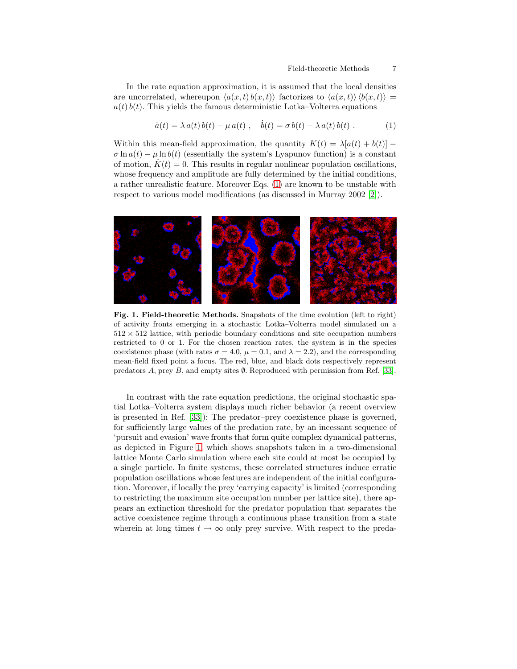In the rate equation approximation, it is assumed that the local densities are uncorrelated, whereupon  $\langle a(x, t) b(x, t) \rangle$  factorizes to  $\langle a(x, t) \rangle$   $\langle b(x, t) \rangle$  =  $a(t) b(t)$ . This yields the famous deterministic Lotka–Volterra equations

<span id="page-6-0"></span>
$$
\dot{a}(t) = \lambda a(t) b(t) - \mu a(t) , \quad \dot{b}(t) = \sigma b(t) - \lambda a(t) b(t) . \tag{1}
$$

Within this mean-field approximation, the quantity  $K(t) = \lambda [a(t) + b(t)]$  –  $\sigma \ln a(t) - \mu \ln b(t)$  (essentially the system's Lyapunov function) is a constant of motion,  $K(t) = 0$ . This results in regular nonlinear population oscillations, whose frequency and amplitude are fully determined by the initial conditions, a rather unrealistic feature. Moreover Eqs. [\(1\)](#page-6-0) are known to be unstable with respect to various model modifications (as discussed in Murray 2002 [\[2\]](#page-24-0)).



<span id="page-6-1"></span>Fig. 1. Field-theoretic Methods. Snapshots of the time evolution (left to right) of activity fronts emerging in a stochastic Lotka–Volterra model simulated on a  $512 \times 512$  lattice, with periodic boundary conditions and site occupation numbers restricted to 0 or 1. For the chosen reaction rates, the system is in the species coexistence phase (with rates  $\sigma = 4.0$ ,  $\mu = 0.1$ , and  $\lambda = 2.2$ ), and the corresponding mean-field fixed point a focus. The red, blue, and black dots respectively represent predators  $A$ , prey  $B$ , and empty sites  $\emptyset$ . Reproduced with permission from Ref. [\[33\]](#page-25-2).

In contrast with the rate equation predictions, the original stochastic spatial Lotka–Volterra system displays much richer behavior (a recent overview is presented in Ref. [\[33\]](#page-25-2)): The predator–prey coexistence phase is governed, for sufficiently large values of the predation rate, by an incessant sequence of 'pursuit and evasion' wave fronts that form quite complex dynamical patterns, as depicted in Figure [1,](#page-6-1) which shows snapshots taken in a two-dimensional lattice Monte Carlo simulation where each site could at most be occupied by a single particle. In finite systems, these correlated structures induce erratic population oscillations whose features are independent of the initial configuration. Moreover, if locally the prey 'carrying capacity' is limited (corresponding to restricting the maximum site occupation number per lattice site), there appears an extinction threshold for the predator population that separates the active coexistence regime through a continuous phase transition from a state wherein at long times  $t \to \infty$  only prey survive. With respect to the preda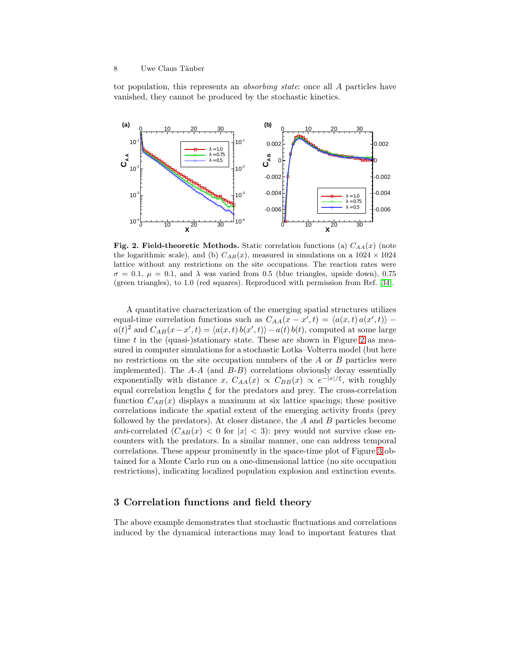tor population, this represents an absorbing state: once all A particles have vanished, they cannot be produced by the stochastic kinetics.



<span id="page-7-0"></span>Fig. 2. Field-theoretic Methods. Static correlation functions (a)  $C_{AA}(x)$  (note the logarithmic scale), and (b)  $C_{AB}(x)$ , measured in simulations on a 1024  $\times$  1024 lattice without any restrictions on the site occupations. The reaction rates were  $\sigma = 0.1, \mu = 0.1, \text{ and } \lambda$  was varied from 0.5 (blue triangles, upside down), 0.75 (green triangles), to 1.0 (red squares). Reproduced with permission from Ref. [\[34\]](#page-25-3).

A quantitative characterization of the emerging spatial structures utilizes equal-time correlation functions such as  $C_{AA}(x-x',t) = \langle a(x,t) a(x',t) \rangle$  $a(t)^2$  and  $C_{AB}(x-x',t) = \langle a(x,t) b(x',t) \rangle - a(t) b(t)$ , computed at some large time t in the (quasi-)stationary state. These are shown in Figure [2](#page-7-0) as measured in computer simulations for a stochastic Lotka–Volterra model (but here no restrictions on the site occupation numbers of the A or B particles were implemented). The  $A-A$  (and  $B-B$ ) correlations obviously decay essentially exponentially with distance x,  $C_{AA}(x) \propto C_{BB}(x) \propto e^{-|x|/\xi}$ , with roughly equal correlation lengths  $\xi$  for the predators and prey. The cross-correlation function  $C_{AB}(x)$  displays a maximum at six lattice spacings; these positive correlations indicate the spatial extent of the emerging activity fronts (prey followed by the predators). At closer distance, the  $A$  and  $B$  particles become anti-correlated  $(C_{AB}(x) < 0$  for  $|x| < 3$ ): prey would not survive close encounters with the predators. In a similar manner, one can address temporal correlations. These appear prominently in the space-time plot of Figure [3](#page-8-0) obtained for a Monte Carlo run on a one-dimensional lattice (no site occupation restrictions), indicating localized population explosion and extinction events.

# 3 Correlation functions and field theory

The above example demonstrates that stochastic fluctuations and correlations induced by the dynamical interactions may lead to important features that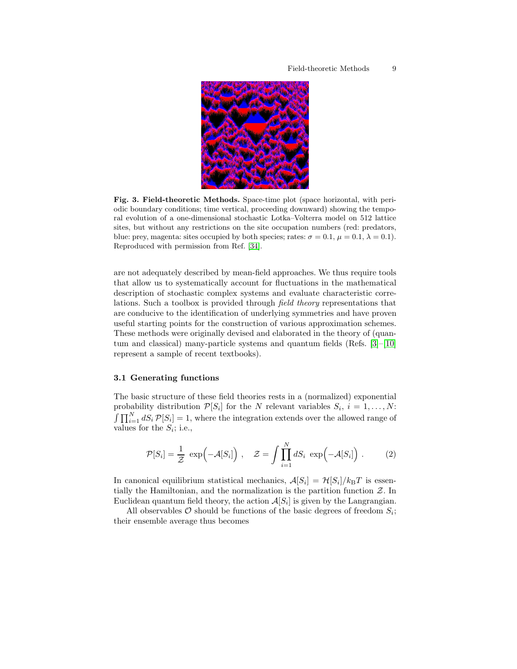

<span id="page-8-0"></span>Fig. 3. Field-theoretic Methods. Space-time plot (space horizontal, with periodic boundary conditions; time vertical, proceeding downward) showing the temporal evolution of a one-dimensional stochastic Lotka–Volterra model on 512 lattice sites, but without any restrictions on the site occupation numbers (red: predators, blue: prey, magenta: sites occupied by both species; rates:  $\sigma = 0.1$ ,  $\mu = 0.1$ ,  $\lambda = 0.1$ ). Reproduced with permission from Ref. [\[34\]](#page-25-3).

are not adequately described by mean-field approaches. We thus require tools that allow us to systematically account for fluctuations in the mathematical description of stochastic complex systems and evaluate characteristic correlations. Such a toolbox is provided through field theory representations that are conducive to the identification of underlying symmetries and have proven useful starting points for the construction of various approximation schemes. These methods were originally devised and elaborated in the theory of (quantum and classical) many-particle systems and quantum fields (Refs. [\[3\]](#page-24-1)–[\[10\]](#page-24-2) represent a sample of recent textbooks).

#### 3.1 Generating functions

The basic structure of these field theories rests in a (normalized) exponential probability distribution  $\mathcal{P}[S_i]$  for the N relevant variables  $S_i$ ,  $i = 1, ..., N$ :  $\iint \prod_{i=1}^{N} dS_i \mathcal{P}[S_i] = 1$ , where the integration extends over the allowed range of values for the  $S_i$ ; i.e.,

<span id="page-8-1"></span>
$$
\mathcal{P}[S_i] = \frac{1}{\mathcal{Z}} \exp\left(-\mathcal{A}[S_i]\right), \quad \mathcal{Z} = \int \prod_{i=1}^N dS_i \exp\left(-\mathcal{A}[S_i]\right). \tag{2}
$$

In canonical equilibrium statistical mechanics,  $\mathcal{A}[S_i] = \mathcal{H}[S_i]/k_B T$  is essentially the Hamiltonian, and the normalization is the partition function  $\mathcal{Z}$ . In Euclidean quantum field theory, the action  $\mathcal{A}[S_i]$  is given by the Langrangian.

All observables  $\mathcal O$  should be functions of the basic degrees of freedom  $S_i$ ; their ensemble average thus becomes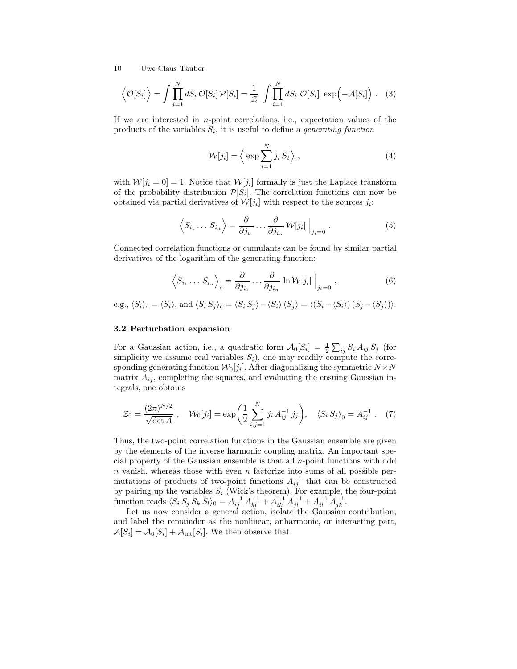<span id="page-9-0"></span>
$$
\left\langle \mathcal{O}[S_i] \right\rangle = \int \prod_{i=1}^N dS_i \, \mathcal{O}[S_i] \, \mathcal{P}[S_i] = \frac{1}{\mathcal{Z}} \, \int \prod_{i=1}^N dS_i \, \mathcal{O}[S_i] \, \exp\left(-\mathcal{A}[S_i]\right) \, . \tag{3}
$$

If we are interested in  $n$ -point correlations, i.e., expectation values of the products of the variables  $S_i$ , it is useful to define a *generating function* 

<span id="page-9-1"></span>
$$
\mathcal{W}[j_i] = \left\langle \exp \sum_{i=1}^{N} j_i S_i \right\rangle, \qquad (4)
$$

with  $W[j_i = 0] = 1$ . Notice that  $W[j_i]$  formally is just the Laplace transform of the probability distribution  $\mathcal{P}[S_i]$ . The correlation functions can now be obtained via partial derivatives of  $W[j_i]$  with respect to the sources  $j_i$ :

$$
\left\langle S_{i_1} \dots S_{i_n} \right\rangle = \frac{\partial}{\partial j_{i_1}} \dots \frac{\partial}{\partial j_{i_n}} \mathcal{W}[j_i] \Big|_{j_i=0} . \tag{5}
$$

Connected correlation functions or cumulants can be found by similar partial derivatives of the logarithm of the generating function:

<span id="page-9-2"></span>
$$
\left\langle S_{i_1} \dots S_{i_n} \right\rangle_c = \frac{\partial}{\partial j_{i_1}} \dots \frac{\partial}{\partial j_{i_n}} \ln \mathcal{W}[j_i] \Big|_{j_i=0},\tag{6}
$$

e.g.,  $\langle S_i \rangle_c = \langle S_i \rangle$ , and  $\langle S_i S_j \rangle_c = \langle S_i S_j \rangle - \langle S_i \rangle \langle S_j \rangle = \langle (S_i - \langle S_i \rangle) (S_j - \langle S_j \rangle) \rangle$ .

### <span id="page-9-3"></span>3.2 Perturbation expansion

For a Gaussian action, i.e., a quadratic form  $A_0[S_i] = \frac{1}{2} \sum_{ij} S_i A_{ij} S_j$  (for simplicity we assume real variables  $S_i$ ), one may readily compute the corresponding generating function  $\mathcal{W}_0[j_i]$ . After diagonalizing the symmetric  $N \times N$ matrix  $A_{ij}$ , completing the squares, and evaluating the ensuing Gaussian integrals, one obtains

$$
\mathcal{Z}_0 = \frac{(2\pi)^{N/2}}{\sqrt{\det A}} , \quad \mathcal{W}_0[j_i] = \exp\bigg(\frac{1}{2}\sum_{i,j=1}^N j_i A_{ij}^{-1} j_j\bigg), \quad \langle S_i S_j \rangle_0 = A_{ij}^{-1} . \quad (7)
$$

Thus, the two-point correlation functions in the Gaussian ensemble are given by the elements of the inverse harmonic coupling matrix. An important special property of the Gaussian ensemble is that all n-point functions with odd  $n$  vanish, whereas those with even  $n$  factorize into sums of all possible permutations of products of two-point functions  $A_{ij}^{-1}$  that can be constructed by pairing up the variables  $S_i$  (Wick's theorem). For example, the four-point function reads  $\langle S_i S_j S_k S_l \rangle_0 = A_{ij}^{-1} A_{kl}^{-1} + A_{ik}^{-1} A_{jl}^{-1} + A_{il}^{-1} A_{jk}^{-1}.$ 

Let us now consider a general action, isolate the Gaussian contribution, and label the remainder as the nonlinear, anharmonic, or interacting part,  $\mathcal{A}[S_i] = \mathcal{A}_0[S_i] + \mathcal{A}_{int}[S_i]$ . We then observe that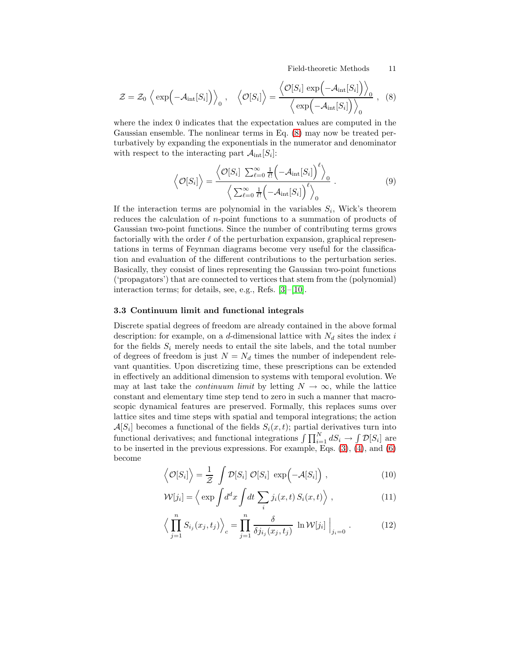Field-theoretic Methods 11

<span id="page-10-0"></span>
$$
\mathcal{Z} = \mathcal{Z}_0 \left\langle \exp\left(-\mathcal{A}_{\rm int}[S_i]\right) \right\rangle_0, \quad \left\langle \mathcal{O}[S_i] \right\rangle = \frac{\left\langle \mathcal{O}[S_i] \exp\left(-\mathcal{A}_{\rm int}[S_i]\right) \right\rangle_0}{\left\langle \exp\left(-\mathcal{A}_{\rm int}[S_i]\right) \right\rangle_0}, \quad (8)
$$

where the index 0 indicates that the expectation values are computed in the Gaussian ensemble. The nonlinear terms in Eq. [\(8\)](#page-10-0) may now be treated perturbatively by expanding the exponentials in the numerator and denominator with respect to the interacting part  $\mathcal{A}_{int}[S_i]$ :

<span id="page-10-1"></span>
$$
\left\langle \mathcal{O}[S_i] \right\rangle = \frac{\left\langle \mathcal{O}[S_i] \sum_{\ell=0}^{\infty} \frac{1}{\ell!} \left( -\mathcal{A}_{\rm int}[S_i] \right)^{\ell} \right\rangle_0}{\left\langle \sum_{\ell=0}^{\infty} \frac{1}{\ell!} \left( -\mathcal{A}_{\rm int}[S_i] \right)^{\ell} \right\rangle_0} \ . \tag{9}
$$

If the interaction terms are polynomial in the variables  $S_i$ , Wick's theorem reduces the calculation of n-point functions to a summation of products of Gaussian two-point functions. Since the number of contributing terms grows factorially with the order  $\ell$  of the perturbation expansion, graphical representations in terms of Feynman diagrams become very useful for the classification and evaluation of the different contributions to the perturbation series. Basically, they consist of lines representing the Gaussian two-point functions ('propagators') that are connected to vertices that stem from the (polynomial) interaction terms; for details, see, e.g., Refs. [\[3\]](#page-24-1)–[\[10\]](#page-24-2).

### 3.3 Continuum limit and functional integrals

Discrete spatial degrees of freedom are already contained in the above formal description: for example, on a d-dimensional lattice with  $N_d$  sites the index i for the fields  $S_i$  merely needs to entail the site labels, and the total number of degrees of freedom is just  $N = N_d$  times the number of independent relevant quantities. Upon discretizing time, these prescriptions can be extended in effectively an additional dimension to systems with temporal evolution. We may at last take the *continuum limit* by letting  $N \to \infty$ , while the lattice constant and elementary time step tend to zero in such a manner that macroscopic dynamical features are preserved. Formally, this replaces sums over lattice sites and time steps with spatial and temporal integrations; the action  $\mathcal{A}[S_i]$  becomes a functional of the fields  $S_i(x,t)$ ; partial derivatives turn into functional derivatives; and functional integrations  $\int \prod_{i=1}^{N} dS_i \to \int \mathcal{D}[S_i]$  are to be inserted in the previous expressions. For example, Eqs. [\(3\)](#page-9-0), [\(4\)](#page-9-1), and [\(6\)](#page-9-2) become

$$
\langle \mathcal{O}[S_i] \rangle = \frac{1}{\mathcal{Z}} \int \mathcal{D}[S_i] \; \mathcal{O}[S_i] \; \exp\Big(-\mathcal{A}[S_i]\Big) \; , \tag{10}
$$

$$
\mathcal{W}[j_i] = \left\langle \exp \int d^d x \int dt \sum_i j_i(x, t) S_i(x, t) \right\rangle, \qquad (11)
$$

$$
\left\langle \prod_{j=1}^{n} S_{i_j}(x_j, t_j) \right\rangle_c = \prod_{j=1}^{n} \frac{\delta}{\delta j_{i_j}(x_j, t_j)} \ln \mathcal{W}[j_i] \Big|_{j_i=0} . \tag{12}
$$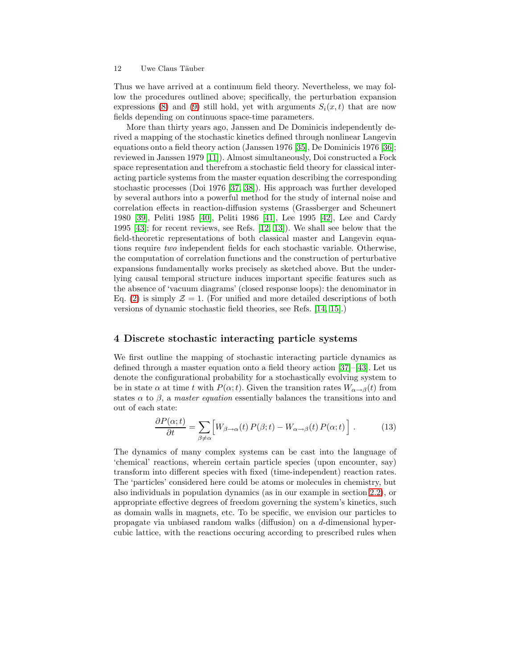Thus we have arrived at a continuum field theory. Nevertheless, we may follow the procedures outlined above; specifically, the perturbation expansion expressions [\(8\)](#page-10-0) and [\(9\)](#page-10-1) still hold, yet with arguments  $S_i(x, t)$  that are now fields depending on continuous space-time parameters.

More than thirty years ago, Janssen and De Dominicis independently derived a mapping of the stochastic kinetics defined through nonlinear Langevin equations onto a field theory action (Janssen 1976 [\[35\]](#page-25-4), De Dominicis 1976 [\[36\]](#page-25-5); reviewed in Janssen 1979 [\[11\]](#page-24-3)). Almost simultaneously, Doi constructed a Fock space representation and therefrom a stochastic field theory for classical interacting particle systems from the master equation describing the corresponding stochastic processes (Doi 1976 [\[37,](#page-25-6) [38\]](#page-25-7)). His approach was further developed by several authors into a powerful method for the study of internal noise and correlation effects in reaction-diffusion systems (Grassberger and Scheunert 1980 [\[39\]](#page-25-8), Peliti 1985 [\[40\]](#page-25-9), Peliti 1986 [\[41\]](#page-26-0), Lee 1995 [\[42\]](#page-26-1), Lee and Cardy 1995 [\[43\]](#page-26-2); for recent reviews, see Refs. [\[12,](#page-24-4) [13\]](#page-24-5)). We shall see below that the field-theoretic representations of both classical master and Langevin equations require two independent fields for each stochastic variable. Otherwise, the computation of correlation functions and the construction of perturbative expansions fundamentally works precisely as sketched above. But the underlying causal temporal structure induces important specific features such as the absence of 'vacuum diagrams' (closed response loops): the denominator in Eq. [\(2\)](#page-8-1) is simply  $\mathcal{Z} = 1$ . (For unified and more detailed descriptions of both versions of dynamic stochastic field theories, see Refs. [\[14,](#page-24-6) [15\]](#page-24-7).)

# 4 Discrete stochastic interacting particle systems

We first outline the mapping of stochastic interacting particle dynamics as defined through a master equation onto a field theory action [\[37\]](#page-25-6)–[\[43\]](#page-26-2). Let us denote the configurational probability for a stochastically evolving system to be in state  $\alpha$  at time t with  $P(\alpha;t)$ . Given the transition rates  $W_{\alpha\rightarrow\beta}(t)$  from states  $\alpha$  to  $\beta$ , a *master equation* essentially balances the transitions into and out of each state:

$$
\frac{\partial P(\alpha;t)}{\partial t} = \sum_{\beta \neq \alpha} \left[ W_{\beta \to \alpha}(t) P(\beta;t) - W_{\alpha \to \beta}(t) P(\alpha;t) \right]. \tag{13}
$$

The dynamics of many complex systems can be cast into the language of 'chemical' reactions, wherein certain particle species (upon encounter, say) transform into different species with fixed (time-independent) reaction rates. The 'particles' considered here could be atoms or molecules in chemistry, but also individuals in population dynamics (as in our example in section [2.2\)](#page-5-0), or appropriate effective degrees of freedom governing the system's kinetics, such as domain walls in magnets, etc. To be specific, we envision our particles to propagate via unbiased random walks (diffusion) on a d-dimensional hypercubic lattice, with the reactions occuring according to prescribed rules when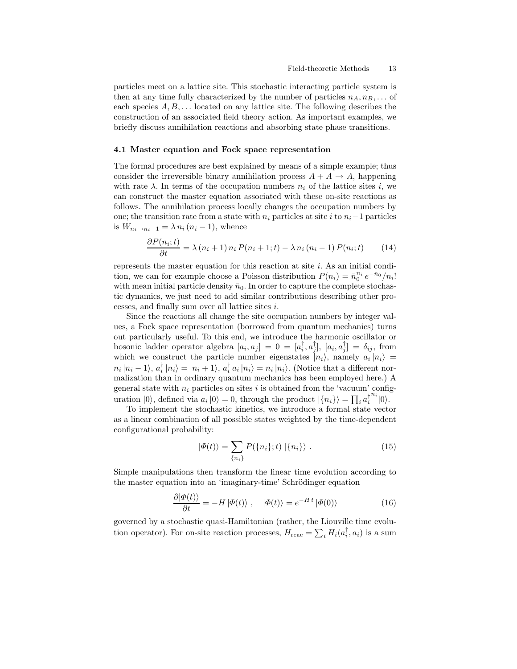particles meet on a lattice site. This stochastic interacting particle system is then at any time fully characterized by the number of particles  $n_A, n_B, \ldots$  of each species  $A, B, \ldots$  located on any lattice site. The following describes the construction of an associated field theory action. As important examples, we briefly discuss annihilation reactions and absorbing state phase transitions.

### 4.1 Master equation and Fock space representation

The formal procedures are best explained by means of a simple example; thus consider the irreversible binary annihilation process  $A + A \rightarrow A$ , happening with rate  $\lambda$ . In terms of the occupation numbers  $n_i$  of the lattice sites i, we can construct the master equation associated with these on-site reactions as follows. The annihilation process locally changes the occupation numbers by one; the transition rate from a state with  $n_i$  particles at site i to  $n_i-1$  particles is  $W_{n_i\rightarrow n_i-1} = \lambda n_i (n_i - 1)$ , whence

$$
\frac{\partial P(n_i; t)}{\partial t} = \lambda (n_i + 1) n_i P(n_i + 1; t) - \lambda n_i (n_i - 1) P(n_i; t)
$$
 (14)

represents the master equation for this reaction at site  $i$ . As an initial condition, we can for example choose a Poisson distribution  $P(n_i) = \bar{n}_0^{n_i} e^{-\bar{n}_0}/n_i!$ with mean initial particle density  $\bar{n}_0$ . In order to capture the complete stochastic dynamics, we just need to add similar contributions describing other processes, and finally sum over all lattice sites i.

Since the reactions all change the site occupation numbers by integer values, a Fock space representation (borrowed from quantum mechanics) turns out particularly useful. To this end, we introduce the harmonic oscillator or bosonic ladder operator algebra  $[a_i, a_j] = 0 = [a_i^{\dagger}, a_j^{\dagger}], [a_i, a_j^{\dagger}] = \delta_{ij}$ , from which we construct the particle number eigenstates  $|n_i\rangle$ , namely  $a_i |n_i\rangle =$  $n_i |n_i - 1\rangle, a_i^{\dagger} |n_i\rangle = |n_i + 1\rangle, a_i^{\dagger} a_i |n_i\rangle = n_i |n_i\rangle.$  (Notice that a different normalization than in ordinary quantum mechanics has been employed here.) A general state with  $n_i$  particles on sites i is obtained from the 'vacuum' configuration  $|0\rangle$ , defined via  $a_i |0\rangle = 0$ , through the product  $|\{n_i\}\rangle = \prod_i a_i^{\dagger}$  $n_i|0\rangle$ .

To implement the stochastic kinetics, we introduce a formal state vector as a linear combination of all possible states weighted by the time-dependent configurational probability:

$$
|\Phi(t)\rangle = \sum_{\{n_i\}} P(\{n_i\}; t) | \{n_i\}\rangle . \tag{15}
$$

Simple manipulations then transform the linear time evolution according to the master equation into an 'imaginary-time' Schrödinger equation

<span id="page-12-0"></span>
$$
\frac{\partial |\Phi(t)\rangle}{\partial t} = -H |\Phi(t)\rangle \ , \quad |\Phi(t)\rangle = e^{-H \, t} |\Phi(0)\rangle \tag{16}
$$

governed by a stochastic quasi-Hamiltonian (rather, the Liouville time evolution operator). For on-site reaction processes,  $H_{\text{reac}} = \sum_i H_i(a_i^{\dagger}, a_i)$  is a sum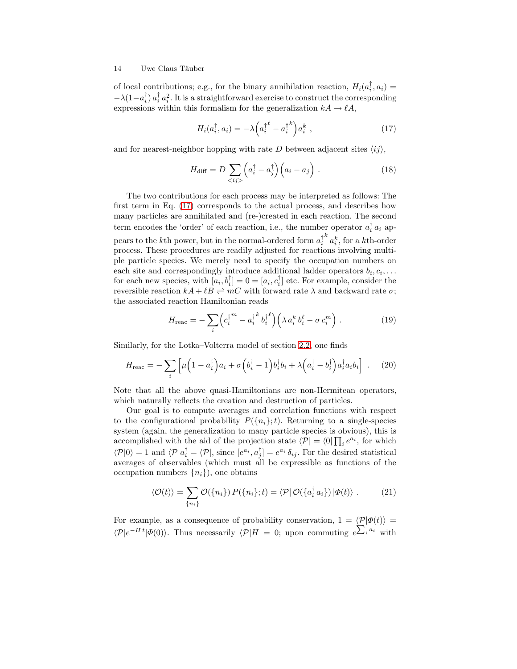of local contributions; e.g., for the binary annihilation reaction,  $H_i(a_i^{\dagger}, a_i) =$  $-\lambda(1-a_i^{\dagger}) a_i^{\dagger} a_i^2$ . It is a straightforward exercise to construct the corresponding expressions within this formalism for the generalization  $kA \to \ell A$ ,

<span id="page-13-0"></span>
$$
H_i(a_i^{\dagger}, a_i) = -\lambda \left(a_i^{\dagger \ell} - a_i^{\dagger k}\right) a_i^k , \qquad (17)
$$

and for nearest-neighbor hopping with rate D between adjacent sites  $\langle ij \rangle$ ,

<span id="page-13-1"></span>
$$
H_{\text{diff}} = D \sum_{\langle ij \rangle} \left( a_i^\dagger - a_j^\dagger \right) \left( a_i - a_j \right) \,. \tag{18}
$$

The two contributions for each process may be interpreted as follows: The first term in Eq. [\(17\)](#page-13-0) corresponds to the actual process, and describes how many particles are annihilated and (re-)created in each reaction. The second term encodes the 'order' of each reaction, i.e., the number operator  $a_i^{\dagger} a_i$  appears to the *k*<sup>th</sup> power, but in the normal-ordered form  $a_i^{\dagger}$  $k a_i^k$ , for a *k*th-order process. These procedures are readily adjusted for reactions involving multiple particle species. We merely need to specify the occupation numbers on each site and correspondingly introduce additional ladder operators  $b_i, c_i, \ldots$ for each new species, with  $[a_i, b_i^{\dagger}] = 0 = [a_i, c_i^{\dagger}]$  etc. For example, consider the reversible reaction  $kA + \ell B \rightleftharpoons mC$  with forward rate  $\lambda$  and backward rate  $\sigma$ ; the associated reaction Hamiltonian reads

$$
H_{\text{reac}} = -\sum_{i} \left( c_i^{\dagger m} - a_i^{\dagger k} b_i^{\dagger}{}^{\ell} \right) \left( \lambda a_i^k b_i^{\ell} - \sigma c_i^m \right) . \tag{19}
$$

Similarly, for the Lotka–Volterra model of section [2.2,](#page-5-0) one finds

$$
H_{\text{reac}} = -\sum_{i} \left[ \mu \left( 1 - a_i^{\dagger} \right) a_i + \sigma \left( b_i^{\dagger} - 1 \right) b_i^{\dagger} b_i + \lambda \left( a_i^{\dagger} - b_i^{\dagger} \right) a_i^{\dagger} a_i b_i \right] . \tag{20}
$$

Note that all the above quasi-Hamiltonians are non-Hermitean operators, which naturally reflects the creation and destruction of particles.

Our goal is to compute averages and correlation functions with respect to the configurational probability  $P({n_i};t)$ . Returning to a single-species system (again, the generalization to many particle species is obvious), this is accomplished with the aid of the projection state  $\langle \mathcal{P} | = \langle 0 | \prod_i e^{a_i} \rangle$ , for which  $\langle \mathcal{P} | 0 \rangle = 1$  and  $\langle \mathcal{P} | a_i^{\dagger} = \langle \mathcal{P} |$ , since  $[e^{a_i}, a_j^{\dagger}] = e^{a_i} \delta_{ij}$ . For the desired statistical averages of observables (which must all be expressible as functions of the occupation numbers  $\{n_i\}$ , one obtains

$$
\langle \mathcal{O}(t) \rangle = \sum_{\{n_i\}} \mathcal{O}(\{n_i\}) P(\{n_i\}; t) = \langle \mathcal{P} | \mathcal{O}(\{a_i^{\dagger} a_i\}) | \Phi(t) \rangle . \tag{21}
$$

For example, as a consequence of probability conservation,  $1 = \langle \mathcal{P} | \Phi(t) \rangle =$  $\langle \mathcal{P} | e^{-H t} | \Phi(0) \rangle$ . Thus necessarily  $\langle \mathcal{P} | H = 0$ ; upon commuting  $e^{\sum_i a_i}$  with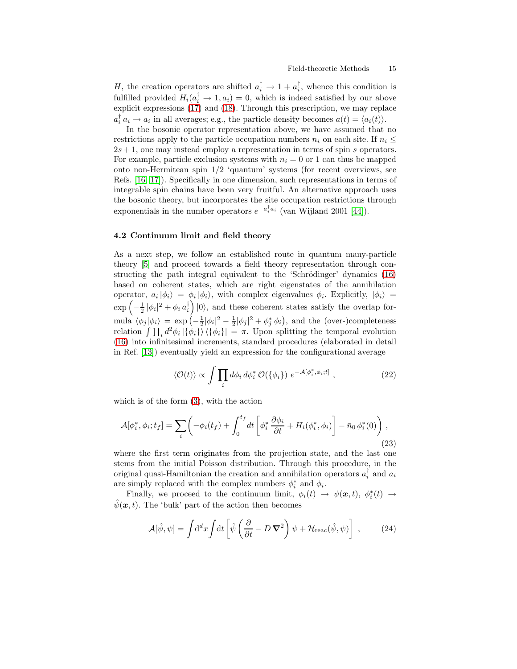H, the creation operators are shifted  $a_i^{\dagger} \rightarrow 1 + a_i^{\dagger}$ , whence this condition is fulfilled provided  $H_i(a_i^{\dagger} \rightarrow 1, a_i) = 0$ , which is indeed satisfied by our above explicit expressions [\(17\)](#page-13-0) and [\(18\)](#page-13-1). Through this prescription, we may replace  $a_i^{\dagger} a_i \rightarrow a_i$  in all averages; e.g., the particle density becomes  $a(t) = \langle a_i(t) \rangle$ .

In the bosonic operator representation above, we have assumed that no restrictions apply to the particle occupation numbers  $n_i$  on each site. If  $n_i \leq$  $2s + 1$ , one may instead employ a representation in terms of spin s operators. For example, particle exclusion systems with  $n<sub>i</sub> = 0$  or 1 can thus be mapped onto non-Hermitean spin  $1/2$  'quantum' systems (for recent overviews, see Refs. [\[16,](#page-24-8) [17\]](#page-24-9)). Specifically in one dimension, such representations in terms of integrable spin chains have been very fruitful. An alternative approach uses the bosonic theory, but incorporates the site occupation restrictions through exponentials in the number operators  $e^{-a_i^{\dagger} a_i}$  (van Wijland 2001 [\[44\]](#page-26-3)).

# 4.2 Continuum limit and field theory

As a next step, we follow an established route in quantum many-particle theory [\[5\]](#page-24-10) and proceed towards a field theory representation through constructing the path integral equivalent to the 'Schrödinger' dynamics  $(16)$ based on coherent states, which are right eigenstates of the annihilation operator,  $a_i |\phi_i\rangle = \phi_i |\phi_i\rangle$ , with complex eigenvalues  $\phi_i$ . Explicitly,  $|\phi_i\rangle =$  $\exp\left(-\frac{1}{2}|\phi_i|^2 + \phi_i a_i^{\dagger}\right)|0\rangle$ , and these coherent states satisfy the overlap formula  $\langle \phi_j | \phi_i \rangle = \exp \left(-\frac{1}{2}|\phi_i|^2 - \frac{1}{2}|\phi_j|^2 + \phi_j^* \phi_i\right)$ , and the (over-)completeness relation  $\int \prod_i d^2\phi_i |\{\phi_i\}\rangle \langle {\phi_i}\rangle| = \pi$ . Upon splitting the temporal evolution [\(16\)](#page-12-0) into infinitesimal increments, standard procedures (elaborated in detail in Ref. [\[13\]](#page-24-5)) eventually yield an expression for the configurational average

$$
\langle \mathcal{O}(t) \rangle \propto \int \prod_i d\phi_i \, d\phi_i^* \, \mathcal{O}(\{\phi_i\}) \, e^{-\mathcal{A}[\phi_i^*, \phi_i; t]} \;, \tag{22}
$$

which is of the form [\(3\)](#page-9-0), with the action

$$
\mathcal{A}[\phi_i^*, \phi_i; t_f] = \sum_i \left( -\phi_i(t_f) + \int_0^{t_f} dt \left[ \phi_i^* \frac{\partial \phi_i}{\partial t} + H_i(\phi_i^*, \phi_i) \right] - \bar{n}_0 \phi_i^*(0) \right),\tag{23}
$$

where the first term originates from the projection state, and the last one stems from the initial Poisson distribution. Through this procedure, in the original quasi-Hamiltonian the creation and annihilation operators  $a_i^{\dagger}$  and  $a_i$ are simply replaced with the complex numbers  $\phi_i^*$  and  $\phi_i$ .

Finally, we proceed to the continuum limit,  $\phi_i(t) \rightarrow \psi(x,t)$ ,  $\phi_i^*(t) \rightarrow$  $\hat{\psi}(\boldsymbol{x}, t)$ . The 'bulk' part of the action then becomes

<span id="page-14-0"></span>
$$
\mathcal{A}[\hat{\psi}, \psi] = \int d^d x \int dt \left[ \hat{\psi} \left( \frac{\partial}{\partial t} - D \, \nabla^2 \right) \psi + \mathcal{H}_{\text{reac}}(\hat{\psi}, \psi) \right] \,, \tag{24}
$$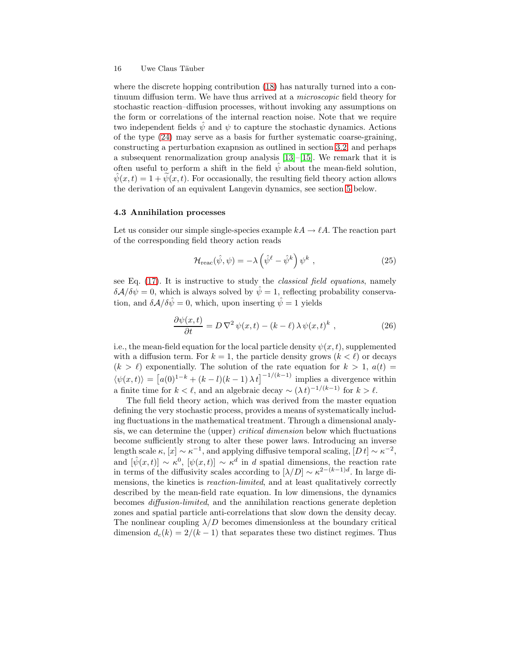where the discrete hopping contribution [\(18\)](#page-13-1) has naturally turned into a continuum diffusion term. We have thus arrived at a microscopic field theory for stochastic reaction–diffusion processes, without invoking any assumptions on the form or correlations of the internal reaction noise. Note that we require two independent fields  $\psi$  and  $\psi$  to capture the stochastic dynamics. Actions of the type [\(24\)](#page-14-0) may serve as a basis for further systematic coarse-graining, constructing a perturbation exapnsion as outlined in section [3.2,](#page-9-3) and perhaps a subsequent renormalization group analysis [\[13\]](#page-24-5)–[\[15\]](#page-24-7). We remark that it is often useful to perform a shift in the field  $\hat{\psi}$  about the mean-field solution,  $\psi(x,t) = 1 + \psi(x,t)$ . For occasionally, the resulting field theory action allows the derivation of an equivalent Langevin dynamics, see section [5](#page-18-0) below.

### 4.3 Annihilation processes

Let us consider our simple single-species example  $kA \to \ell A$ . The reaction part of the corresponding field theory action reads

$$
\mathcal{H}_{\text{reac}}(\hat{\psi}, \psi) = -\lambda \left(\hat{\psi}^{\ell} - \hat{\psi}^{k}\right) \psi^{k} , \qquad (25)
$$

see Eq. [\(17\)](#page-13-0). It is instructive to study the classical field equations, namely  $\delta A/\delta \psi = 0$ , which is always solved by  $\hat{\psi} = 1$ , reflecting probability conservation, and  $\delta \mathcal{A}/\delta \hat{\psi} = 0$ , which, upon inserting  $\hat{\psi} = 1$  yields

$$
\frac{\partial \psi(x,t)}{\partial t} = D \nabla^2 \psi(x,t) - (k - \ell) \lambda \psi(x,t)^k , \qquad (26)
$$

i.e., the mean-field equation for the local particle density  $\psi(x, t)$ , supplemented with a diffusion term. For  $k = 1$ , the particle density grows  $(k < \ell)$  or decays  $(k > \ell)$  exponentially. The solution of the rate equation for  $k > 1$ ,  $a(t) =$  $\langle \psi(x,t) \rangle = [a(0)^{1-k} + (k-l)(k-1) \lambda t]^{-1/(k-1)}$  implies a divergence within a finite time for  $k < \ell$ , and an algebraic decay ~  $(\lambda t)^{-1/(k-1)}$  for  $k > \ell$ .

The full field theory action, which was derived from the master equation defining the very stochastic process, provides a means of systematically including fluctuations in the mathematical treatment. Through a dimensional analysis, we can determine the (upper) critical dimension below which fluctuations become sufficiently strong to alter these power laws. Introducing an inverse length scale  $\kappa$ ,  $[x] \sim \kappa^{-1}$ , and applying diffusive temporal scaling,  $[Dt] \sim \kappa^{-2}$ , and  $[\hat{\psi}(x,t)] \sim \kappa^0$ ,  $[\psi(x,t)] \sim \kappa^d$  in d spatial dimensions, the reaction rate in terms of the diffusivity scales according to  $[\lambda/D] \sim \kappa^{2-(k-1)d}$ . In large dimensions, the kinetics is reaction-limited, and at least qualitatively correctly described by the mean-field rate equation. In low dimensions, the dynamics becomes diffusion-limited, and the annihilation reactions generate depletion zones and spatial particle anti-correlations that slow down the density decay. The nonlinear coupling  $\lambda/D$  becomes dimensionless at the boundary critical dimension  $d_c(k) = 2/(k-1)$  that separates these two distinct regimes. Thus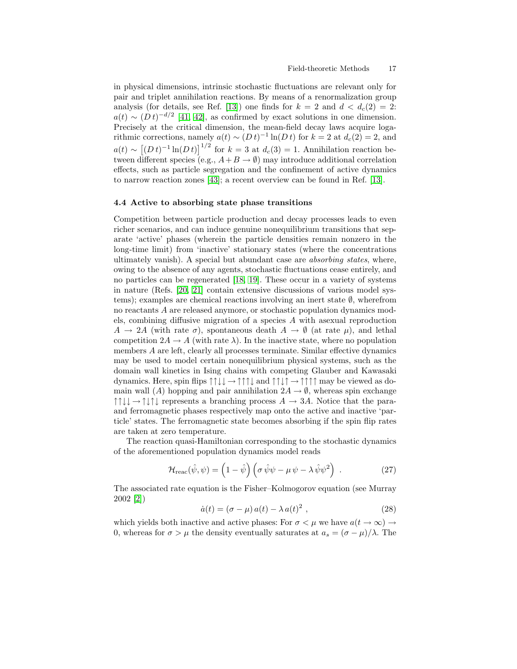in physical dimensions, intrinsic stochastic fluctuations are relevant only for pair and triplet annihilation reactions. By means of a renormalization group analysis (for details, see Ref. [\[13\]](#page-24-5)) one finds for  $k = 2$  and  $d < d_c(2) = 2$ :  $a(t) \sim (Dt)^{-d/2}$  [\[41,](#page-26-0) [42\]](#page-26-1), as confirmed by exact solutions in one dimension. Precisely at the critical dimension, the mean-field decay laws acquire logarithmic corrections, namely  $a(t) \sim (Dt)^{-1} \ln(D t)$  for  $k = 2$  at  $d_c(2) = 2$ , and  $a(t) \sim \left[ (Dt)^{-1} \ln(D t) \right]^{1/2}$  for  $k = 3$  at  $d_c(3) = 1$ . Annihilation reaction between different species (e.g.,  $A + B \rightarrow \emptyset$ ) may introduce additional correlation effects, such as particle segregation and the confinement of active dynamics to narrow reaction zones [\[43\]](#page-26-2); a recent overview can be found in Ref. [\[13\]](#page-24-5).

#### 4.4 Active to absorbing state phase transitions

Competition between particle production and decay processes leads to even richer scenarios, and can induce genuine nonequilibrium transitions that separate 'active' phases (wherein the particle densities remain nonzero in the long-time limit) from 'inactive' stationary states (where the concentrations ultimately vanish). A special but abundant case are absorbing states, where, owing to the absence of any agents, stochastic fluctuations cease entirely, and no particles can be regenerated [\[18,](#page-24-11) [19\]](#page-24-12). These occur in a variety of systems in nature (Refs. [\[20,](#page-24-13) [21\]](#page-25-10) contain extensive discussions of various model systems); examples are chemical reactions involving an inert state  $\emptyset$ , wherefrom no reactants A are released anymore, or stochastic population dynamics models, combining diffusive migration of a species A with asexual reproduction  $A \to 2A$  (with rate  $\sigma$ ), spontaneous death  $A \to \emptyset$  (at rate  $\mu$ ), and lethal competition  $2A \rightarrow A$  (with rate  $\lambda$ ). In the inactive state, where no population members A are left, clearly all processes terminate. Similar effective dynamics may be used to model certain nonequilibrium physical systems, such as the domain wall kinetics in Ising chains with competing Glauber and Kawasaki dynamics. Here, spin flips  $\uparrow \uparrow \downarrow \downarrow \rightarrow \uparrow \uparrow \uparrow \downarrow$  and  $\uparrow \uparrow \downarrow \uparrow \rightarrow \uparrow \uparrow \uparrow \uparrow$  may be viewed as domain wall (A) hopping and pair annihilation  $2A \rightarrow \emptyset$ , whereas spin exchange ↑↑↓↓ → ↑↓↑↓ represents a branching process A → 3A. Notice that the paraand ferromagnetic phases respectively map onto the active and inactive 'particle' states. The ferromagnetic state becomes absorbing if the spin flip rates are taken at zero temperature.

The reaction quasi-Hamiltonian corresponding to the stochastic dynamics of the aforementioned population dynamics model reads

$$
\mathcal{H}_{\text{reac}}(\hat{\psi}, \psi) = \left(1 - \hat{\psi}\right) \left(\sigma \,\hat{\psi}\psi - \mu \,\psi - \lambda \,\hat{\psi}\psi^2\right) \,. \tag{27}
$$

The associated rate equation is the Fisher–Kolmogorov equation (see Murray 2002 [\[2\]](#page-24-0))

$$
\dot{a}(t) = (\sigma - \mu) a(t) - \lambda a(t)^2 , \qquad (28)
$$

which yields both inactive and active phases: For  $\sigma < \mu$  we have  $a(t \to \infty) \to$ 0, whereas for  $\sigma > \mu$  the density eventually saturates at  $a_s = (\sigma - \mu)/\lambda$ . The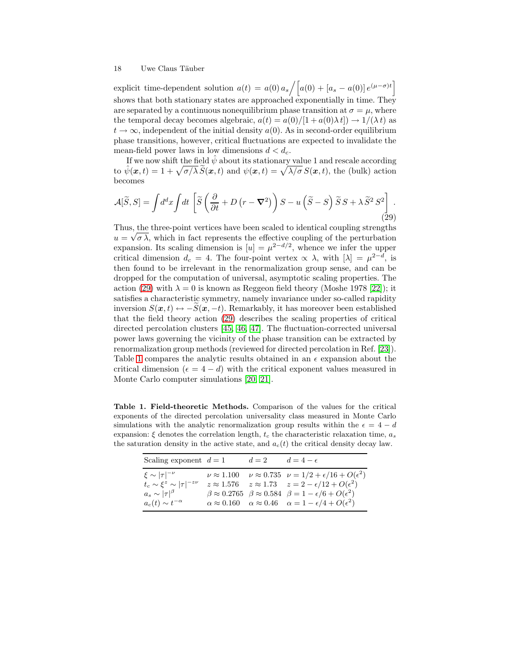explicit time-dependent solution  $a(t) = a(0) a_s / \left[ a(0) + [a_s - a(0)] e^{(\mu - \sigma)t} \right]$ shows that both stationary states are approached exponentially in time. They are separated by a continuous nonequilibrium phase transition at  $\sigma = \mu$ , where the temporal decay becomes algebraic,  $a(t) = a(0)/[1 + a(0)\lambda t] \rightarrow 1/(\lambda t)$  as  $t \to \infty$ , independent of the initial density  $a(0)$ . As in second-order equilibrium phase transitions, however, critical fluctuations are expected to invalidate the mean-field power laws in low dimensions  $d < d_c$ .

If we now shift the field  $\hat{\psi}$  about its stationary value 1 and rescale according to  $\hat{\psi}(\boldsymbol{x},t) = 1 + \sqrt{\sigma/\lambda} \widetilde{S}(\boldsymbol{x},t)$  and  $\psi(\boldsymbol{x},t) = \sqrt{\lambda/\sigma} S(\boldsymbol{x},t)$ , the (bulk) action becomes

<span id="page-17-0"></span>
$$
\mathcal{A}[\widetilde{S}, S] = \int d^d x \int dt \, \left[ \widetilde{S} \left( \frac{\partial}{\partial t} + D \left( r - \nabla^2 \right) \right) S - u \left( \widetilde{S} - S \right) \widetilde{S} S + \lambda \widetilde{S}^2 S^2 \right].
$$
\n(29)

Thus, the three-point vertices have been scaled to identical coupling strengths  $u = \sqrt{\sigma \lambda}$ , which in fact represents the effective coupling of the perturbation expansion. Its scaling dimension is  $[u] = \mu^{2-d/2}$ , whence we infer the upper critical dimension  $d_c = 4$ . The four-point vertex  $\propto \lambda$ , with  $[\lambda] = \mu^{2-d}$ , is then found to be irrelevant in the renormalization group sense, and can be dropped for the computation of universal, asymptotic scaling properties. The action [\(29\)](#page-17-0) with  $\lambda = 0$  is known as Reggeon field theory (Moshe 1978 [\[22\]](#page-25-11)); it satisfies a characteristic symmetry, namely invariance under so-called rapidity inversion  $S(\mathbf{x}, t) \leftrightarrow -S(\mathbf{x}, -t)$ . Remarkably, it has moreover been established that the field theory action [\(29\)](#page-17-0) describes the scaling properties of critical directed percolation clusters [\[45,](#page-26-4) [46,](#page-26-5) [47\]](#page-26-6). The fluctuation-corrected universal power laws governing the vicinity of the phase transition can be extracted by renormalization group methods (reviewed for directed percolation in Ref. [\[23\]](#page-25-12)). Table [1](#page-17-1) compares the analytic results obtained in an  $\epsilon$  expansion about the critical dimension ( $\epsilon = 4 - d$ ) with the critical exponent values measured in Monte Carlo computer simulations [\[20,](#page-24-13) [21\]](#page-25-10).

<span id="page-17-1"></span>Table 1. Field-theoretic Methods. Comparison of the values for the critical exponents of the directed percolation universality class measured in Monte Carlo simulations with the analytic renormalization group results within the  $\epsilon = 4 - d$ expansion:  $\xi$  denotes the correlation length,  $t_c$  the characteristic relaxation time,  $a_s$ the saturation density in the active state, and  $a_c(t)$  the critical density decay law.

| Scaling exponent $d=1$<br>$d=4-\epsilon$<br>$d=2$                                                                                                                                                                                                                                                                                                                                                                                       |                          |                     |  |
|-----------------------------------------------------------------------------------------------------------------------------------------------------------------------------------------------------------------------------------------------------------------------------------------------------------------------------------------------------------------------------------------------------------------------------------------|--------------------------|---------------------|--|
|                                                                                                                                                                                                                                                                                                                                                                                                                                         |                          |                     |  |
| $\nu \approx 0.735$ $\nu = 1/2 + \epsilon/16 + O(\epsilon^2)$<br>$z \approx 1.73$ $z = 2 - \epsilon/12 + O(\epsilon^2)$<br>$t_c \sim \xi^z \sim  \tau ^{-z\nu}$<br>$z \approx 1.576$<br>$a_s \sim  \tau ^\beta$<br>$\beta \approx 0.2765$ $\beta \approx 0.584$ $\beta = 1 - \epsilon/6 + O(\epsilon^2)$<br>$\alpha \approx 0.160 \quad \alpha \approx 0.46 \quad \alpha = 1 - \epsilon/4 + O(\epsilon^2)$<br>$a_c(t) \sim t^{-\alpha}$ | $\xi \sim  \tau ^{-\nu}$ | $\nu \approx 1.100$ |  |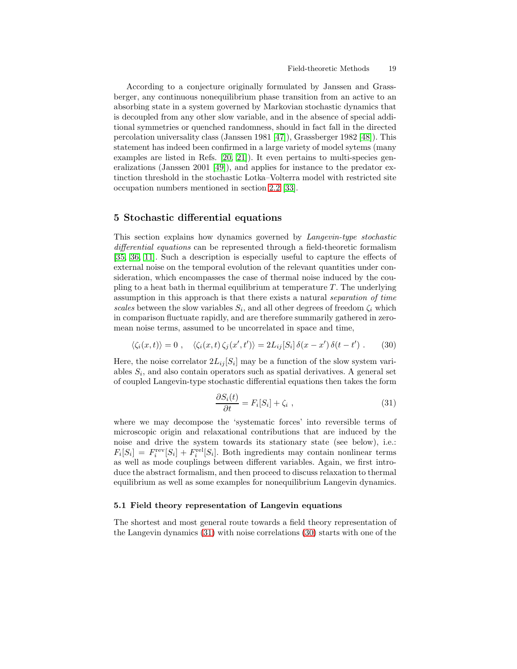According to a conjecture originally formulated by Janssen and Grassberger, any continuous nonequilibrium phase transition from an active to an absorbing state in a system governed by Markovian stochastic dynamics that is decoupled from any other slow variable, and in the absence of special additional symmetries or quenched randomness, should in fact fall in the directed percolation universality class (Janssen 1981 [\[47\]](#page-26-6)), Grassberger 1982 [\[48\]](#page-26-7)). This statement has indeed been confirmed in a large variety of model sytems (many examples are listed in Refs. [\[20,](#page-24-13) [21\]](#page-25-10)). It even pertains to multi-species generalizations (Janssen 2001 [\[49\]](#page-26-8)), and applies for instance to the predator extinction threshold in the stochastic Lotka–Volterra model with restricted site occupation numbers mentioned in section [2.2](#page-5-0) [\[33\]](#page-25-2).

# <span id="page-18-0"></span>5 Stochastic differential equations

This section explains how dynamics governed by Langevin-type stochastic differential equations can be represented through a field-theoretic formalism [\[35,](#page-25-4) [36,](#page-25-5) [11\]](#page-24-3). Such a description is especially useful to capture the effects of external noise on the temporal evolution of the relevant quantities under consideration, which encompasses the case of thermal noise induced by the coupling to a heat bath in thermal equilibrium at temperature  $T$ . The underlying assumption in this approach is that there exists a natural separation of time scales between the slow variables  $S_i$ , and all other degrees of freedom  $\zeta_i$  which in comparison fluctuate rapidly, and are therefore summarily gathered in zeromean noise terms, assumed to be uncorrelated in space and time,

<span id="page-18-2"></span>
$$
\langle \zeta_i(x,t) \rangle = 0 \;, \quad \langle \zeta_i(x,t) \, \zeta_j(x',t') \rangle = 2L_{ij}[S_i] \, \delta(x-x') \, \delta(t-t') \; . \tag{30}
$$

Here, the noise correlator  $2L_{ij}[S_i]$  may be a function of the slow system variables  $S_i$ , and also contain operators such as spatial derivatives. A general set of coupled Langevin-type stochastic differential equations then takes the form

<span id="page-18-1"></span>
$$
\frac{\partial S_i(t)}{\partial t} = F_i[S_i] + \zeta_i \t\t(31)
$$

where we may decompose the 'systematic forces' into reversible terms of microscopic origin and relaxational contributions that are induced by the noise and drive the system towards its stationary state (see below), i.e.:  $F_i[S_i] = F_i^{\text{rev}}[S_i] + F_i^{\text{rel}}[S_i]$ . Both ingredients may contain nonlinear terms as well as mode couplings between different variables. Again, we first introduce the abstract formalism, and then proceed to discuss relaxation to thermal equilibrium as well as some examples for nonequilibrium Langevin dynamics.

#### 5.1 Field theory representation of Langevin equations

The shortest and most general route towards a field theory representation of the Langevin dynamics [\(31\)](#page-18-1) with noise correlations [\(30\)](#page-18-2) starts with one of the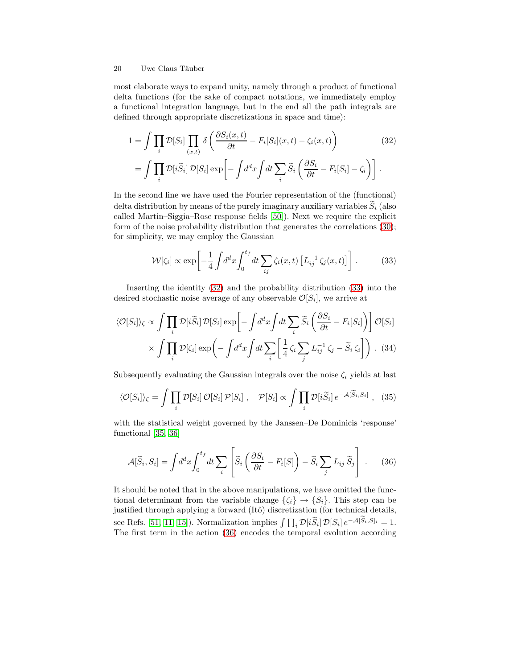most elaborate ways to expand unity, namely through a product of functional delta functions (for the sake of compact notations, we immediately employ a functional integration language, but in the end all the path integrals are defined through appropriate discretizations in space and time):

<span id="page-19-0"></span>
$$
1 = \int \prod_{i} \mathcal{D}[S_i] \prod_{(x,t)} \delta\left(\frac{\partial S_i(x,t)}{\partial t} - F_i[S_i](x,t) - \zeta_i(x,t)\right)
$$
(32)  

$$
= \int \prod_{i} \mathcal{D}[i\widetilde{S}_i] \mathcal{D}[S_i] \exp\left[-\int d^d x \int dt \sum_{i} \widetilde{S}_i \left(\frac{\partial S_i}{\partial t} - F_i[S_i] - \zeta_i\right)\right].
$$

In the second line we have used the Fourier representation of the (functional) delta distribution by means of the purely imaginary auxiliary variables  $S_i$  (also called Martin–Siggia–Rose response fields [\[50\]](#page-26-9)). Next we require the explicit form of the noise probability distribution that generates the correlations [\(30\)](#page-18-2); for simplicity, we may employ the Gaussian

<span id="page-19-1"></span>
$$
\mathcal{W}[\zeta_i] \propto \exp\left[-\frac{1}{4} \int d^d x \int_0^{t_f} dt \sum_{ij} \zeta_i(x,t) \left[L_{ij}^{-1} \zeta_j(x,t)\right]\right].\tag{33}
$$

Inserting the identity [\(32\)](#page-19-0) and the probability distribution [\(33\)](#page-19-1) into the desired stochastic noise average of any observable  $\mathcal{O}[S_i]$ , we arrive at

$$
\langle \mathcal{O}[S_i] \rangle_{\zeta} \propto \int \prod_i \mathcal{D}[i\widetilde{S}_i] \mathcal{D}[S_i] \exp \left[ -\int d^d x \int dt \sum_i \widetilde{S}_i \left( \frac{\partial S_i}{\partial t} - F_i[S_i] \right) \right] \mathcal{O}[S_i]
$$

$$
\times \int \prod_i \mathcal{D}[\zeta_i] \exp \left( -\int d^d x \int dt \sum_i \left[ \frac{1}{4} \zeta_i \sum_j L_{ij}^{-1} \zeta_j - \widetilde{S}_i \zeta_i \right] \right). \tag{34}
$$

Subsequently evaluating the Gaussian integrals over the noise  $\zeta_i$  yields at last

$$
\langle \mathcal{O}[S_i] \rangle_{\zeta} = \int \prod_i \mathcal{D}[S_i] \, \mathcal{O}[S_i] \, \mathcal{P}[S_i] \,, \quad \mathcal{P}[S_i] \propto \int \prod_i \mathcal{D}[i\widetilde{S}_i] \, e^{-\mathcal{A}[\widetilde{S}_i, S_i]} \,, \quad (35)
$$

with the statistical weight governed by the Janssen–De Dominicis 'response' functional [\[35,](#page-25-4) [36\]](#page-25-5)

<span id="page-19-2"></span>
$$
\mathcal{A}[\widetilde{S}_i, S_i] = \int d^d x \int_0^{t_f} dt \sum_i \left[ \widetilde{S}_i \left( \frac{\partial S_i}{\partial t} - F_i[S] \right) - \widetilde{S}_i \sum_j L_{ij} \widetilde{S}_j \right] . \tag{36}
$$

It should be noted that in the above manipulations, we have omitted the functional determinant from the variable change  $\{\zeta_i\} \to \{S_i\}$ . This step can be justified through applying a forward (Itô) discretization (for technical details, see Refs. [\[51,](#page-26-10) [11,](#page-24-3) [15\]](#page-24-7)). Normalization implies  $\int \prod_i \mathcal{D}[i\widetilde{S}_i] \mathcal{D}[S_i] e^{-\mathcal{A}[\widetilde{S}_i, S]_i} = 1.$ The first term in the action [\(36\)](#page-19-2) encodes the temporal evolution according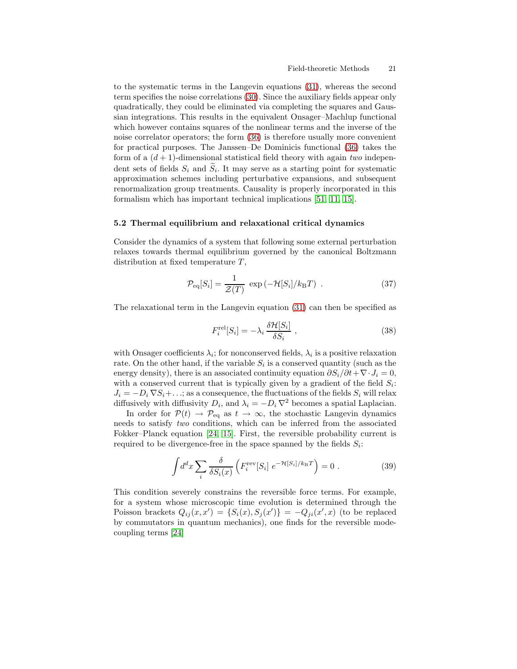to the systematic terms in the Langevin equations [\(31\)](#page-18-1), whereas the second term specifies the noise correlations [\(30\)](#page-18-2). Since the auxiliary fields appear only quadratically, they could be eliminated via completing the squares and Gaussian integrations. This results in the equivalent Onsager–Machlup functional which however contains squares of the nonlinear terms and the inverse of the noise correlator operators; the form [\(36\)](#page-19-2) is therefore usually more convenient for practical purposes. The Janssen–De Dominicis functional [\(36\)](#page-19-2) takes the form of a  $(d+1)$ -dimensional statistical field theory with again two independent sets of fields  $S_i$  and  $S_i$ . It may serve as a starting point for systematic approximation schemes including perturbative expansions, and subsequent renormalization group treatments. Causality is properly incorporated in this formalism which has important technical implications [\[51,](#page-26-10) [11,](#page-24-3) [15\]](#page-24-7).

### 5.2 Thermal equilibrium and relaxational critical dynamics

Consider the dynamics of a system that following some external perturbation relaxes towards thermal equilibrium governed by the canonical Boltzmann distribution at fixed temperature  $T$ ,

$$
\mathcal{P}_{\text{eq}}[S_i] = \frac{1}{\mathcal{Z}(T)} \exp\left(-\mathcal{H}[S_i]/k_{\text{B}}T\right) \tag{37}
$$

The relaxational term in the Langevin equation [\(31\)](#page-18-1) can then be specified as

$$
F_i^{\text{rel}}[S_i] = -\lambda_i \frac{\delta \mathcal{H}[S_i]}{\delta S_i} , \qquad (38)
$$

with Onsager coefficients  $\lambda_i$ ; for nonconserved fields,  $\lambda_i$  is a positive relaxation rate. On the other hand, if the variable  $S_i$  is a conserved quantity (such as the energy density), there is an associated continuity equation  $\partial S_i/\partial t+\nabla \cdot J_i=0$ , with a conserved current that is typically given by a gradient of the field  $S_i$ :  $J_i = -D_i \nabla S_i + \dots$ ; as a consequence, the fluctuations of the fields  $S_i$  will relax diffusively with diffusivity  $D_i$ , and  $\lambda_i = -D_i \nabla^2$  becomes a spatial Laplacian.

In order for  $\mathcal{P}(t) \to \mathcal{P}_{eq}$  as  $t \to \infty$ , the stochastic Langevin dynamics needs to satisfy two conditions, which can be inferred from the associated Fokker–Planck equation [\[24,](#page-25-13) [15\]](#page-24-7). First, the reversible probability current is required to be divergence-free in the space spanned by the fields  $S_i$ :

<span id="page-20-0"></span>
$$
\int d^d x \sum_i \frac{\delta}{\delta S_i(x)} \left( F_i^{\text{rev}}[S_i] \ e^{-\mathcal{H}[S_i]/k_B T} \right) = 0 \ . \tag{39}
$$

This condition severely constrains the reversible force terms. For example, for a system whose microscopic time evolution is determined through the Poisson brackets  $Q_{ij}(x, x') = \{S_i(x), S_j(x')\} = -Q_{ji}(x', x)$  (to be replaced by commutators in quantum mechanics), one finds for the reversible modecoupling terms [\[24\]](#page-25-13)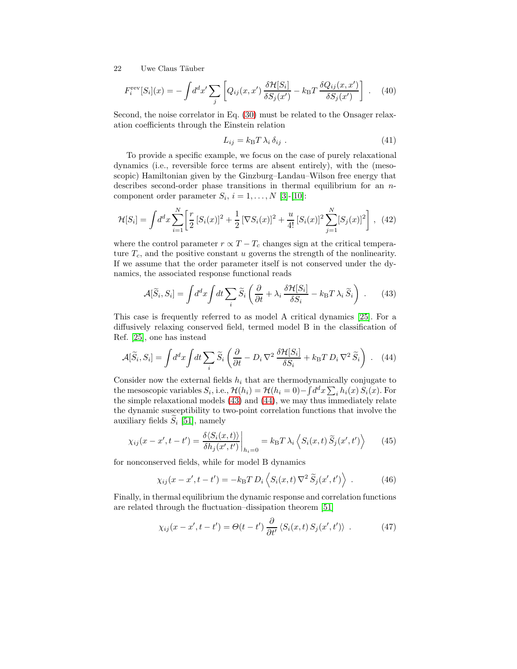$$
F_i^{\text{rev}}[S_i](x) = -\int d^d x' \sum_j \left[ Q_{ij}(x, x') \frac{\delta \mathcal{H}[S_i]}{\delta S_j(x')} - k_{\text{B}} T \frac{\delta Q_{ij}(x, x')}{\delta S_j(x')} \right] \ . \tag{40}
$$

Second, the noise correlator in Eq. [\(30\)](#page-18-2) must be related to the Onsager relaxation coefficients through the Einstein relation

$$
L_{ij} = k_{\rm B} T \lambda_i \, \delta_{ij} \tag{41}
$$

To provide a specific example, we focus on the case of purely relaxational dynamics (i.e., reversible force terms are absent entirely), with the (mesoscopic) Hamiltonian given by the Ginzburg–Landau–Wilson free energy that describes second-order phase transitions in thermal equilibrium for an ncomponent order parameter  $S_i$ ,  $i = 1, ..., N$  [\[3\]](#page-24-1)-[\[10\]](#page-24-2):

$$
\mathcal{H}[S_i] = \int d^d x \sum_{i=1}^N \left[ \frac{r}{2} \left[ S_i(x) \right]^2 + \frac{1}{2} \left[ \nabla S_i(x) \right]^2 + \frac{u}{4!} \left[ S_i(x) \right]^2 \sum_{j=1}^N \left[ S_j(x) \right]^2 \right], \tag{42}
$$

where the control parameter  $r \propto T - T_c$  changes sign at the critical temperature  $T_c$ , and the positive constant u governs the strength of the nonlinearity. If we assume that the order parameter itself is not conserved under the dynamics, the associated response functional reads

<span id="page-21-0"></span>
$$
\mathcal{A}[\widetilde{S}_i, S_i] = \int d^d x \int dt \sum_i \widetilde{S}_i \left( \frac{\partial}{\partial t} + \lambda_i \frac{\delta \mathcal{H}[S_i]}{\delta S_i} - k_\text{B} T \lambda_i \widetilde{S}_i \right) . \tag{43}
$$

This case is frequently referred to as model A critical dynamics [\[25\]](#page-25-14). For a diffusively relaxing conserved field, termed model B in the classification of Ref. [\[25\]](#page-25-14), one has instead

<span id="page-21-1"></span>
$$
\mathcal{A}[\widetilde{S}_i, S_i] = \int d^d x \int dt \sum_i \widetilde{S}_i \left( \frac{\partial}{\partial t} - D_i \nabla^2 \frac{\delta \mathcal{H}[S_i]}{\delta S_i} + k_\text{B} T D_i \nabla^2 \widetilde{S}_i \right) . \tag{44}
$$

Consider now the external fields  $h_i$  that are thermodynamically conjugate to the mesoscopic variables  $S_i$ , i.e.,  $\mathcal{H}(h_i) = \mathcal{H}(h_i = 0) - \int d^dx \sum_i h_i(x) S_i(x)$ . For the simple relaxational models [\(43\)](#page-21-0) and [\(44\)](#page-21-1), we may thus immediately relate the dynamic susceptibility to two-point correlation functions that involve the auxiliary fields  $S_i$  [\[51\]](#page-26-10), namely

$$
\chi_{ij}(x - x', t - t') = \frac{\delta \langle S_i(x, t) \rangle}{\delta h_j(x', t')} \bigg|_{h_i = 0} = k_{\rm B} T \lambda_i \left\langle S_i(x, t) \tilde{S}_j(x', t') \right\rangle \tag{45}
$$

for nonconserved fields, while for model B dynamics

$$
\chi_{ij}(x - x', t - t') = -k_{\rm B} T D_i \langle S_i(x, t) \nabla^2 \widetilde{S}_j(x', t') \rangle . \qquad (46)
$$

Finally, in thermal equilibrium the dynamic response and correlation functions are related through the fluctuation–dissipation theorem [\[51\]](#page-26-10)

$$
\chi_{ij}(x - x', t - t') = \Theta(t - t') \frac{\partial}{\partial t'} \langle S_i(x, t) S_j(x', t') \rangle . \tag{47}
$$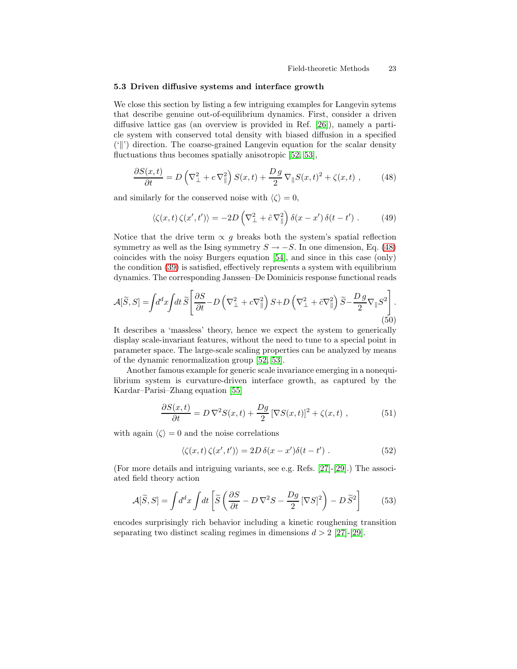### 5.3 Driven diffusive systems and interface growth

We close this section by listing a few intriguing examples for Langevin sytems that describe genuine out-of-equilibrium dynamics. First, consider a driven diffusive lattice gas (an overview is provided in Ref. [\[26\]](#page-25-15)), namely a particle system with conserved total density with biased diffusion in a specified  $(\Vert \cdot \Vert)$  direction. The coarse-grained Langevin equation for the scalar density fluctuations thus becomes spatially anisotropic [\[52,](#page-26-11) [53\]](#page-26-12),

<span id="page-22-0"></span>
$$
\frac{\partial S(x,t)}{\partial t} = D\left(\nabla^2_{\perp} + c\nabla^2_{\parallel}\right)S(x,t) + \frac{Dg}{2}\nabla_{\parallel}S(x,t)^2 + \zeta(x,t) ,\qquad(48)
$$

and similarly for the conserved noise with  $\langle \zeta \rangle = 0$ ,

$$
\langle \zeta(x,t)\,\zeta(x',t') \rangle = -2D\left(\nabla^2_{\perp} + \tilde{c}\,\nabla^2_{\parallel}\right)\delta(x-x')\,\delta(t-t')\;.
$$
 (49)

Notice that the drive term  $\propto g$  breaks both the system's spatial reflection symmetry as well as the Ising symmetry  $S \to -S$ . In one dimension, Eq. [\(48\)](#page-22-0) coincides with the noisy Burgers equation [\[54\]](#page-26-13), and since in this case (only) the condition [\(39\)](#page-20-0) is satisfied, effectively represents a system with equilibrium dynamics. The corresponding Janssen–De Dominicis response functional reads

$$
\mathcal{A}[\widetilde{S}, S] = \int d^d x \int dt \, \widetilde{S} \left[ \frac{\partial S}{\partial t} - D \left( \nabla_{\perp}^2 + c \nabla_{\parallel}^2 \right) S + D \left( \nabla_{\perp}^2 + \tilde{c} \nabla_{\parallel}^2 \right) \widetilde{S} - \frac{D g}{2} \nabla_{\parallel} S^2 \right].
$$
\n(50)

It describes a 'massless' theory, hence we expect the system to generically display scale-invariant features, without the need to tune to a special point in parameter space. The large-scale scaling properties can be analyzed by means of the dynamic renormalization group [\[52,](#page-26-11) [53\]](#page-26-12).

Another famous example for generic scale invariance emerging in a nonequilibrium system is curvature-driven interface growth, as captured by the Kardar–Parisi–Zhang equation [\[55\]](#page-26-14)

$$
\frac{\partial S(x,t)}{\partial t} = D \nabla^2 S(x,t) + \frac{Dg}{2} \left[ \nabla S(x,t) \right]^2 + \zeta(x,t) , \qquad (51)
$$

with again  $\langle \zeta \rangle = 0$  and the noise correlations

$$
\langle \zeta(x,t)\,\zeta(x',t') \rangle = 2D\,\delta(x-x')\delta(t-t')\;.
$$
 (52)

(For more details and intriguing variants, see e.g. Refs. [\[27\]](#page-25-16)-[\[29\]](#page-25-17).) The associated field theory action

$$
\mathcal{A}[\widetilde{S}, S] = \int d^d x \int dt \left[ \widetilde{S} \left( \frac{\partial S}{\partial t} - D \nabla^2 S - \frac{D g}{2} \left[ \nabla S \right]^2 \right) - D \widetilde{S}^2 \right] \tag{53}
$$

encodes surprisingly rich behavior including a kinetic roughening transition separating two distinct scaling regimes in dimensions  $d > 2$  [\[27\]](#page-25-16)-[\[29\]](#page-25-17).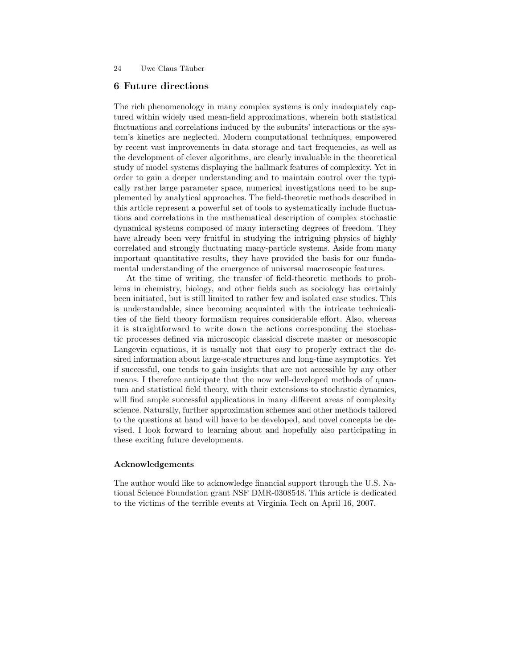### 6 Future directions

The rich phenomenology in many complex systems is only inadequately captured within widely used mean-field approximations, wherein both statistical fluctuations and correlations induced by the subunits' interactions or the system's kinetics are neglected. Modern computational techniques, empowered by recent vast improvements in data storage and tact frequencies, as well as the development of clever algorithms, are clearly invaluable in the theoretical study of model systems displaying the hallmark features of complexity. Yet in order to gain a deeper understanding and to maintain control over the typically rather large parameter space, numerical investigations need to be supplemented by analytical approaches. The field-theoretic methods described in this article represent a powerful set of tools to systematically include fluctuations and correlations in the mathematical description of complex stochastic dynamical systems composed of many interacting degrees of freedom. They have already been very fruitful in studying the intriguing physics of highly correlated and strongly fluctuating many-particle systems. Aside from many important quantitative results, they have provided the basis for our fundamental understanding of the emergence of universal macroscopic features.

At the time of writing, the transfer of field-theoretic methods to problems in chemistry, biology, and other fields such as sociology has certainly been initiated, but is still limited to rather few and isolated case studies. This is understandable, since becoming acquainted with the intricate technicalities of the field theory formalism requires considerable effort. Also, whereas it is straightforward to write down the actions corresponding the stochastic processes defined via microscopic classical discrete master or mesoscopic Langevin equations, it is usually not that easy to properly extract the desired information about large-scale structures and long-time asymptotics. Yet if successful, one tends to gain insights that are not accessible by any other means. I therefore anticipate that the now well-developed methods of quantum and statistical field theory, with their extensions to stochastic dynamics, will find ample successful applications in many different areas of complexity science. Naturally, further approximation schemes and other methods tailored to the questions at hand will have to be developed, and novel concepts be devised. I look forward to learning about and hopefully also participating in these exciting future developments.

### Acknowledgements

The author would like to acknowledge financial support through the U.S. National Science Foundation grant NSF DMR-0308548. This article is dedicated to the victims of the terrible events at Virginia Tech on April 16, 2007.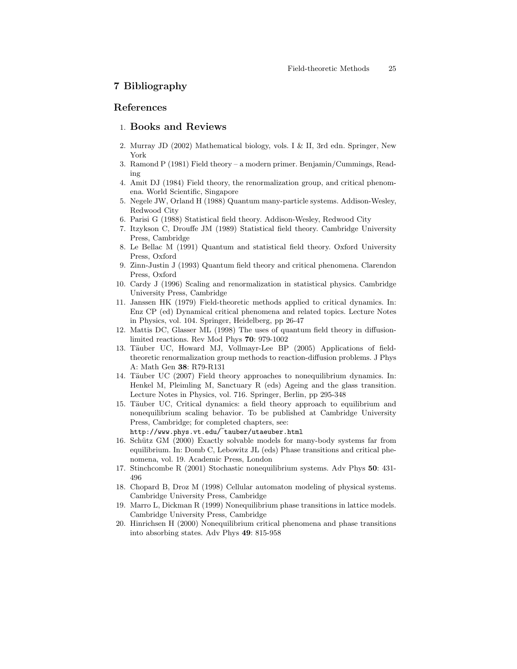# 7 Bibliography

# References

# <span id="page-24-0"></span>1. Books and Reviews

- <span id="page-24-1"></span>2. Murray JD (2002) Mathematical biology, vols. I & II, 3rd edn. Springer, New York
- 3. Ramond P (1981) Field theory a modern primer. Benjamin/Cummings, Reading
- 4. Amit DJ (1984) Field theory, the renormalization group, and critical phenomena. World Scientific, Singapore
- <span id="page-24-10"></span>5. Negele JW, Orland H (1988) Quantum many-particle systems. Addison-Wesley, Redwood City
- 6. Parisi G (1988) Statistical field theory. Addison-Wesley, Redwood City
- 7. Itzykson C, Drouffe JM (1989) Statistical field theory. Cambridge University Press, Cambridge
- 8. Le Bellac M (1991) Quantum and statistical field theory. Oxford University Press, Oxford
- 9. Zinn-Justin J (1993) Quantum field theory and critical phenomena. Clarendon Press, Oxford
- <span id="page-24-2"></span>10. Cardy J (1996) Scaling and renormalization in statistical physics. Cambridge University Press, Cambridge
- <span id="page-24-3"></span>11. Janssen HK (1979) Field-theoretic methods applied to critical dynamics. In: Enz CP (ed) Dynamical critical phenomena and related topics. Lecture Notes in Physics, vol. 104. Springer, Heidelberg, pp 26-47
- <span id="page-24-4"></span>12. Mattis DC, Glasser ML (1998) The uses of quantum field theory in diffusionlimited reactions. Rev Mod Phys 70: 979-1002
- <span id="page-24-5"></span>13. Täuber UC, Howard MJ, Vollmayr-Lee BP (2005) Applications of fieldtheoretic renormalization group methods to reaction-diffusion problems. J Phys A: Math Gen 38: R79-R131
- <span id="page-24-6"></span>14. Täuber UC (2007) Field theory approaches to nonequilibrium dynamics. In: Henkel M, Pleimling M, Sanctuary R (eds) Ageing and the glass transition. Lecture Notes in Physics, vol. 716. Springer, Berlin, pp 295-348
- <span id="page-24-7"></span>15. Täuber UC, Critical dynamics: a field theory approach to equilibrium and nonequilibrium scaling behavior. To be published at Cambridge University Press, Cambridge; for completed chapters, see:

http://www.phys.vt.edu/tauber/utaeuber.html

- <span id="page-24-8"></span>16. Schütz GM (2000) Exactly solvable models for many-body systems far from equilibrium. In: Domb C, Lebowitz JL (eds) Phase transitions and critical phenomena, vol. 19. Academic Press, London
- <span id="page-24-9"></span>17. Stinchcombe R (2001) Stochastic nonequilibrium systems. Adv Phys 50: 431- 496
- <span id="page-24-11"></span>18. Chopard B, Droz M (1998) Cellular automaton modeling of physical systems. Cambridge University Press, Cambridge
- <span id="page-24-12"></span>19. Marro L, Dickman R (1999) Nonequilibrium phase transitions in lattice models. Cambridge University Press, Cambridge
- <span id="page-24-13"></span>20. Hinrichsen H (2000) Nonequilibrium critical phenomena and phase transitions into absorbing states. Adv Phys 49: 815-958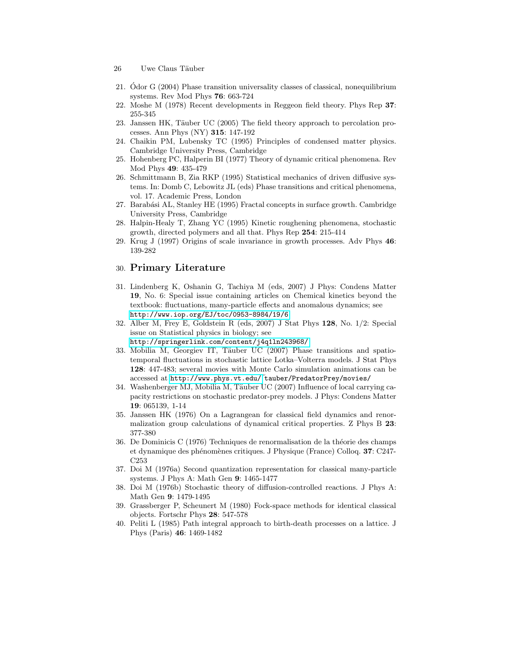- <span id="page-25-10"></span>26 Uwe Claus Täuber
- <span id="page-25-11"></span>21. Odor G  $(2004)$  Phase transition universality classes of classical, nonequilibrium systems. Rev Mod Phys 76: 663-724
- <span id="page-25-12"></span>22. Moshe M (1978) Recent developments in Reggeon field theory. Phys Rep 37: 255-345
- 23. Janssen HK, Täuber UC (2005) The field theory approach to percolation processes. Ann Phys (NY) 315: 147-192
- <span id="page-25-14"></span><span id="page-25-13"></span>24. Chaikin PM, Lubensky TC (1995) Principles of condensed matter physics. Cambridge University Press, Cambridge
- <span id="page-25-15"></span>25. Hohenberg PC, Halperin BI (1977) Theory of dynamic critical phenomena. Rev Mod Phys 49: 435-479
- 26. Schmittmann B, Zia RKP (1995) Statistical mechanics of driven diffusive systems. In: Domb C, Lebowitz JL (eds) Phase transitions and critical phenomena, vol. 17. Academic Press, London
- <span id="page-25-16"></span>27. Barabási AL, Stanley HE (1995) Fractal concepts in surface growth. Cambridge University Press, Cambridge
- <span id="page-25-17"></span>28. Halpin-Healy T, Zhang YC (1995) Kinetic roughening phenomena, stochastic growth, directed polymers and all that. Phys Rep 254: 215-414
- 29. Krug J (1997) Origins of scale invariance in growth processes. Adv Phys 46: 139-282

### <span id="page-25-0"></span>30. Primary Literature

- 31. Lindenberg K, Oshanin G, Tachiya M (eds, 2007) J Phys: Condens Matter 19, No. 6: Special issue containing articles on Chemical kinetics beyond the textbook: fluctuations, many-particle effects and anomalous dynamics; see <http://www.iop.org/EJ/toc/0953-8984/19/6>
- <span id="page-25-1"></span>32. Alber M, Frey E, Goldstein R (eds, 2007) J Stat Phys 128, No. 1/2: Special issue on Statistical physics in biology; see

<http://springerlink.com/content/j4q1ln243968/>

- <span id="page-25-2"></span>33. Mobilia M, Georgiev IT, Täuber UC  $(2007)$  Phase transitions and spatiotemporal fluctuations in stochastic lattice Lotka–Volterra models. J Stat Phys 128: 447-483; several movies with Monte Carlo simulation animations can be accessed at <http://www.phys.vt.edu/>tauber/PredatorPrey/movies/
- <span id="page-25-3"></span>34. Washenberger MJ, Mobilia M, Täuber UC  $(2007)$  Influence of local carrying capacity restrictions on stochastic predator-prey models. J Phys: Condens Matter 19: 065139, 1-14
- <span id="page-25-4"></span>35. Janssen HK (1976) On a Lagrangean for classical field dynamics and renormalization group calculations of dynamical critical properties. Z Phys B 23: 377-380
- <span id="page-25-5"></span>36. De Dominicis C  $(1976)$  Techniques de renormalisation de la théorie des champs et dynamique des phénomènes critiques. J Physique (France) Colloq. 37: C247-C253
- <span id="page-25-6"></span>37. Doi M (1976a) Second quantization representation for classical many-particle systems. J Phys A: Math Gen 9: 1465-1477
- <span id="page-25-8"></span><span id="page-25-7"></span>38. Doi M (1976b) Stochastic theory of diffusion-controlled reactions. J Phys A: Math Gen 9: 1479-1495
- 39. Grassberger P, Scheunert M (1980) Fock-space methods for identical classical objects. Fortschr Phys 28: 547-578
- <span id="page-25-9"></span>40. Peliti L (1985) Path integral approach to birth-death processes on a lattice. J Phys (Paris) 46: 1469-1482